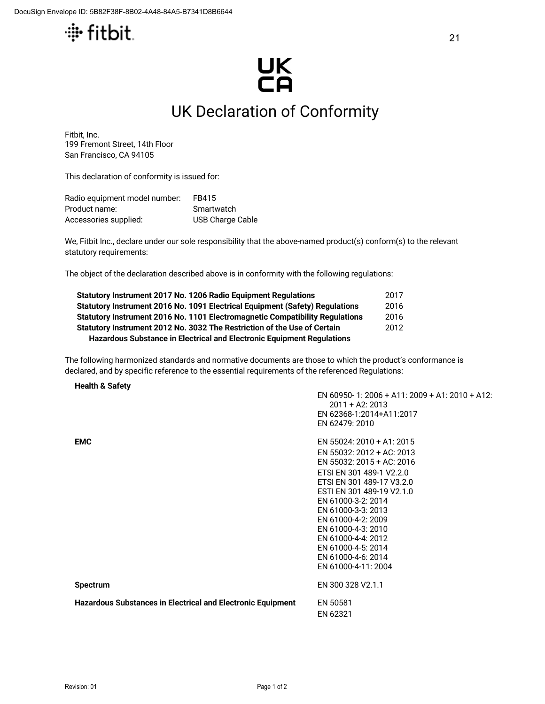

## UK<br>CA

## UK Declaration of Conformity

Fitbit, Inc. 199 Fremont Street, 14th Floor San Francisco, CA 94105

This declaration of conformity is issued for:

| Radio equipment model number: | FB415                   |
|-------------------------------|-------------------------|
| Product name:                 | Smartwatch              |
| Accessories supplied:         | <b>USB Charge Cable</b> |

We, Fitbit Inc., declare under our sole responsibility that the above-named product(s) conform(s) to the relevant statutory requirements:

The object of the declaration described above is in conformity with the following regulations:

| Statutory Instrument 2017 No. 1206 Radio Equipment Regulations               | 2017 |  |
|------------------------------------------------------------------------------|------|--|
| Statutory Instrument 2016 No. 1091 Electrical Equipment (Safety) Regulations | 2016 |  |
| Statutory Instrument 2016 No. 1101 Electromagnetic Compatibility Regulations | 2016 |  |
| Statutory Instrument 2012 No. 3032 The Restriction of the Use of Certain     |      |  |
| Hazardous Substance in Electrical and Electronic Equipment Regulations       |      |  |

The following harmonized standards and normative documents are those to which the product's conformance is declared, and by specific reference to the essential requirements of the referenced Regulations:

## **Health & Safety**

|                                                                    | EN 60950-1: 2006 + A11: 2009 + A1: 2010 + A12:<br>$2011 + A2: 2013$<br>EN 62368-1:2014+A11:2017 |
|--------------------------------------------------------------------|-------------------------------------------------------------------------------------------------|
|                                                                    | EN 62479: 2010                                                                                  |
| <b>EMC</b>                                                         | EN 55024: 2010 + A1: 2015                                                                       |
|                                                                    | EN 55032: 2012 + AC: 2013                                                                       |
|                                                                    | EN 55032: 2015 + AC: 2016                                                                       |
|                                                                    | ETSI EN 301 489-1 V2.2.0                                                                        |
|                                                                    | ETSI EN 301 489-17 V3.2.0                                                                       |
|                                                                    | ESTI EN 301 489-19 V2.1.0<br>EN 61000-3-2: 2014                                                 |
|                                                                    | EN 61000-3-3: 2013                                                                              |
|                                                                    | EN 61000-4-2: 2009                                                                              |
|                                                                    | EN 61000-4-3: 2010                                                                              |
|                                                                    | EN 61000-4-4: 2012                                                                              |
|                                                                    | EN 61000-4-5: 2014                                                                              |
|                                                                    | EN 61000-4-6: 2014                                                                              |
|                                                                    | EN 61000-4-11: 2004                                                                             |
| <b>Spectrum</b>                                                    | EN 300 328 V2.1.1                                                                               |
| <b>Hazardous Substances in Electrical and Electronic Equipment</b> | EN 50581<br>EN 62321                                                                            |